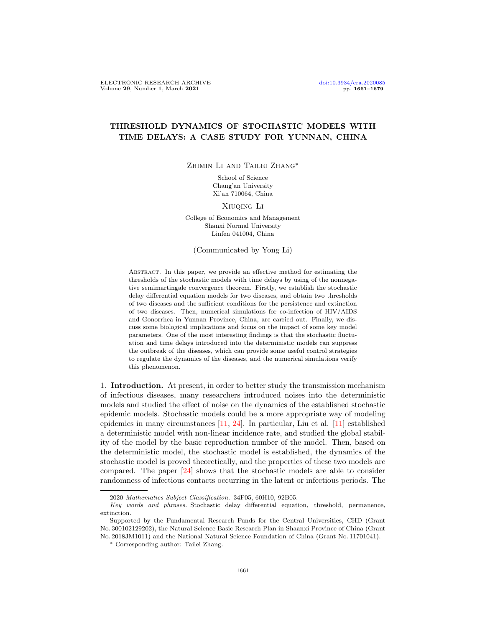## THRESHOLD DYNAMICS OF STOCHASTIC MODELS WITH TIME DELAYS: A CASE STUDY FOR YUNNAN, CHINA

Zhimin Li and Tailei Zhang∗

School of Science Chang'an University Xi'an 710064, China

Xiuqing Li

College of Economics and Management Shanxi Normal University Linfen 041004, China

(Communicated by Yong Li)

ABSTRACT. In this paper, we provide an effective method for estimating the thresholds of the stochastic models with time delays by using of the nonnegative semimartingale convergence theorem. Firstly, we establish the stochastic delay differential equation models for two diseases, and obtain two thresholds of two diseases and the sufficient conditions for the persistence and extinction of two diseases. Then, numerical simulations for co-infection of HIV/AIDS and Gonorrhea in Yunnan Province, China, are carried out. Finally, we discuss some biological implications and focus on the impact of some key model parameters. One of the most interesting findings is that the stochastic fluctuation and time delays introduced into the deterministic models can suppress the outbreak of the diseases, which can provide some useful control strategies to regulate the dynamics of the diseases, and the numerical simulations verify this phenomenon.

1. Introduction. At present, in order to better study the transmission mechanism of infectious diseases, many researchers introduced noises into the deterministic models and studied the effect of noise on the dynamics of the established stochastic epidemic models. Stochastic models could be a more appropriate way of modeling epidemics in many circumstances [\[11,](#page-17-0) [24\]](#page-18-0). In particular, Liu et al. [\[11\]](#page-17-0) established a deterministic model with non-linear incidence rate, and studied the global stability of the model by the basic reproduction number of the model. Then, based on the deterministic model, the stochastic model is established, the dynamics of the stochastic model is proved theoretically, and the properties of these two models are compared. The paper [\[24\]](#page-18-0) shows that the stochastic models are able to consider randomness of infectious contacts occurring in the latent or infectious periods. The

<sup>2020</sup> Mathematics Subject Classification. 34F05, 60H10, 92B05.

Key words and phrases. Stochastic delay differential equation, threshold, permanence, extinction.

Supported by the Fundamental Research Funds for the Central Universities, CHD (Grant No. 300102129202), the Natural Science Basic Research Plan in Shaanxi Province of China (Grant No. 2018JM1011) and the National Natural Science Foundation of China (Grant No. 11701041).

<sup>∗</sup> Corresponding author: Tailei Zhang.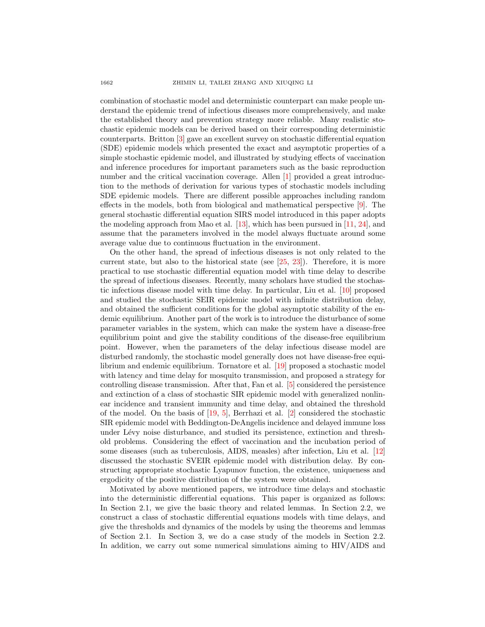combination of stochastic model and deterministic counterpart can make people understand the epidemic trend of infectious diseases more comprehensively, and make the established theory and prevention strategy more reliable. Many realistic stochastic epidemic models can be derived based on their corresponding deterministic counterparts. Britton [\[3\]](#page-17-1) gave an excellent survey on stochastic differential equation (SDE) epidemic models which presented the exact and asymptotic properties of a simple stochastic epidemic model, and illustrated by studying effects of vaccination and inference procedures for important parameters such as the basic reproduction number and the critical vaccination coverage. Allen [\[1\]](#page-17-2) provided a great introduction to the methods of derivation for various types of stochastic models including SDE epidemic models. There are different possible approaches including random effects in the models, both from biological and mathematical perspective [\[9\]](#page-17-3). The general stochastic differential equation SIRS model introduced in this paper adopts the modeling approach from Mao et al.  $[13]$ , which has been pursued in  $[11, 24]$  $[11, 24]$  $[11, 24]$ , and assume that the parameters involved in the model always fluctuate around some average value due to continuous fluctuation in the environment.

On the other hand, the spread of infectious diseases is not only related to the current state, but also to the historical state (see  $[25, 23]$  $[25, 23]$  $[25, 23]$ ). Therefore, it is more practical to use stochastic differential equation model with time delay to describe the spread of infectious diseases. Recently, many scholars have studied the stochastic infectious disease model with time delay. In particular, Liu et al. [\[10\]](#page-17-5) proposed and studied the stochastic SEIR epidemic model with infinite distribution delay, and obtained the sufficient conditions for the global asymptotic stability of the endemic equilibrium. Another part of the work is to introduce the disturbance of some parameter variables in the system, which can make the system have a disease-free equilibrium point and give the stability conditions of the disease-free equilibrium point. However, when the parameters of the delay infectious disease model are disturbed randomly, the stochastic model generally does not have disease-free equilibrium and endemic equilibrium. Tornatore et al. [\[19\]](#page-17-6) proposed a stochastic model with latency and time delay for mosquito transmission, and proposed a strategy for controlling disease transmission. After that, Fan et al. [\[5\]](#page-17-7) considered the persistence and extinction of a class of stochastic SIR epidemic model with generalized nonlinear incidence and transient immunity and time delay, and obtained the threshold of the model. On the basis of  $[19, 5]$  $[19, 5]$  $[19, 5]$ , Berrhazi et al.  $[2]$  considered the stochastic SIR epidemic model with Beddington-DeAngelis incidence and delayed immune loss under Lévy noise disturbance, and studied its persistence, extinction and threshold problems. Considering the effect of vaccination and the incubation period of some diseases (such as tuberculosis, AIDS, measles) after infection, Liu et al. [\[12\]](#page-17-9) discussed the stochastic SVEIR epidemic model with distribution delay. By constructing appropriate stochastic Lyapunov function, the existence, uniqueness and ergodicity of the positive distribution of the system were obtained.

Motivated by above mentioned papers, we introduce time delays and stochastic into the deterministic differential equations. This paper is organized as follows: In Section 2.1, we give the basic theory and related lemmas. In Section 2.2, we construct a class of stochastic differential equations models with time delays, and give the thresholds and dynamics of the models by using the theorems and lemmas of Section 2.1. In Section 3, we do a case study of the models in Section 2.2. In addition, we carry out some numerical simulations aiming to HIV/AIDS and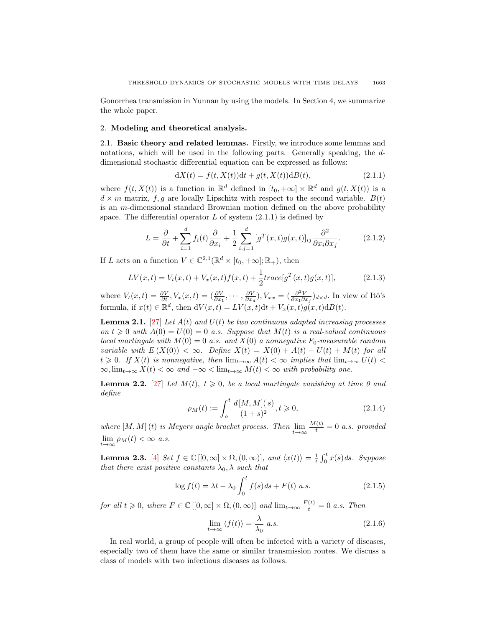Gonorrhea transmission in Yunnan by using the models. In Section 4, we summarize the whole paper.

## 2. Modeling and theoretical analysis.

2.1. Basic theory and related lemmas. Firstly, we introduce some lemmas and notations, which will be used in the following parts. Generally speaking, the ddimensional stochastic differential equation can be expressed as follows:

$$
dX(t) = f(t, X(t))dt + g(t, X(t))dB(t),
$$
\n(2.1.1)

where  $f(t, X(t))$  is a function in  $\mathbb{R}^d$  defined in  $[t_0, +\infty] \times \mathbb{R}^d$  and  $g(t, X(t))$  is a  $d \times m$  matrix, f, g are locally Lipschitz with respect to the second variable.  $B(t)$ is an m-dimensional standard Brownian motion defined on the above probability space. The differential operator  $L$  of system  $(2.1.1)$  is defined by

$$
L = \frac{\partial}{\partial t} + \sum_{i=1}^{d} f_i(t) \frac{\partial}{\partial x_i} + \frac{1}{2} \sum_{i,j=1}^{d} [g^T(x, t) g(x, t)]_{ij} \frac{\partial^2}{\partial x_i \partial x_j}.
$$
 (2.1.2)

If L acts on a function  $V \in \mathbb{C}^{2,1}(\mathbb{R}^d \times [t_0, +\infty]; \mathbb{R}_+),$  then

$$
LV(x,t) = V_t(x,t) + V_x(x,t)f(x,t) + \frac{1}{2}trace[g^T(x,t)g(x,t)],
$$
\n(2.1.3)

where  $V_t(x,t) = \frac{\partial V}{\partial t}$ ,  $V_x(x,t) = (\frac{\partial V}{\partial x_1}, \dots, \frac{\partial V}{\partial x_d})$ ,  $V_{xx} = (\frac{\partial^2 V}{\partial x_1 \partial x_1})_{d \times d}$ . In view of Itô's formula, if  $x(t) \in \mathbb{R}^d$ , then  $dV(x,t) = LV(x,t)dt + V_x(x,t)g(x,t)dB(t)$ .

**Lemma 2.1.** [\[27\]](#page-18-3) Let  $A(t)$  and  $U(t)$  be two continuous adapted increasing processes on  $t \geq 0$  with  $A(0) = U(0) = 0$  a.s. Suppose that  $M(t)$  is a real-valued continuous local martingale with  $M(0) = 0$  a.s. and  $X(0)$  a nonnegative  $F_0$ -measurable random variable with  $E(X(0)) < \infty$ . Define  $X(t) = X(0) + A(t) - U(t) + M(t)$  for all  $t \geq 0$ . If  $X(t)$  is nonnegative, then  $\lim_{t\to\infty} A(t) < \infty$  implies that  $\lim_{t\to\infty} U(t) <$  $\infty$ ,  $\lim_{t\to\infty} X(t) < \infty$  and  $-\infty < \lim_{t\to\infty} M(t) < \infty$  with probability one.

**Lemma 2.2.** [\[27\]](#page-18-3) Let  $M(t)$ ,  $t \geq 0$ , be a local martingale vanishing at time 0 and define

$$
\rho_M(t) := \int_o^t \frac{d[M, M](s)}{(1+s)^2}, t \ge 0,
$$
\n(2.1.4)

where  $[M, M](t)$  is Meyers angle bracket process. Then  $\lim_{t \to \infty} \frac{M(t)}{t} = 0$  a.s. provided  $\lim_{t\to\infty}\rho_M(t)<\infty$  a.s.

**Lemma 2.3.** [\[4\]](#page-17-10) Set  $f \in \mathbb{C}([0,\infty] \times \Omega, (0,\infty)]$ , and  $\langle x(t) \rangle = \frac{1}{t} \int_0^t x(s) ds$ . Suppose that there exist positive constants  $\lambda_0$ ,  $\lambda$  such that

$$
\log f(t) = \lambda t - \lambda_0 \int_0^t f(s) \, ds + F(t) \quad a.s. \tag{2.1.5}
$$

for all  $t \geq 0$ , where  $F \in \mathbb{C} [[0,\infty] \times \Omega, (0,\infty)]$  and  $\lim_{t \to \infty} \frac{F(t)}{t} = 0$  a.s. Then

$$
\lim_{t \to \infty} \langle f(t) \rangle = \frac{\lambda}{\lambda_0} \ a.s. \tag{2.1.6}
$$

In real world, a group of people will often be infected with a variety of diseases, especially two of them have the same or similar transmission routes. We discuss a class of models with two infectious diseases as follows.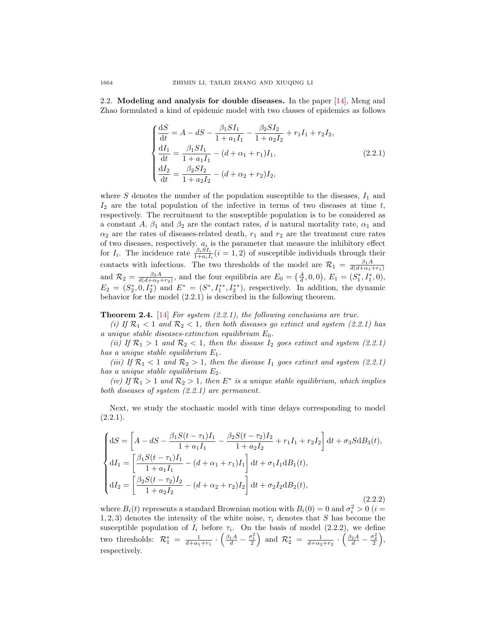2.2. Modeling and analysis for double diseases. In the paper [\[14\]](#page-17-11), Meng and Zhao formulated a kind of epidemic model with two classes of epidemics as follows

$$
\begin{cases}\n\frac{dS}{dt} = A - dS - \frac{\beta_1 SI_1}{1 + a_1 I_1} - \frac{\beta_2 SI_2}{1 + a_2 I_2} + r_1 I_1 + r_2 I_2, \\
\frac{dI_1}{dt} = \frac{\beta_1 SI_1}{1 + a_1 I_1} - (d + \alpha_1 + r_1) I_1, \\
\frac{dI_2}{dt} = \frac{\beta_2 SI_2}{1 + a_2 I_2} - (d + \alpha_2 + r_2) I_2,\n\end{cases}
$$
\n(2.2.1)

where  $S$  denotes the number of the population susceptible to the diseases,  $I_1$  and  $I_2$  are the total population of the infective in terms of two diseases at time t, respectively. The recruitment to the susceptible population is to be considered as a constant A,  $\beta_1$  and  $\beta_2$  are the contact rates, d is natural mortality rate,  $\alpha_1$  and  $\alpha_2$  are the rates of diseases-related death,  $r_1$  and  $r_2$  are the treatment cure rates of two diseases, respectively.  $a_i$  is the parameter that measure the inhibitory effect for  $I_i$ . The incidence rate  $\frac{\beta_i SI_i}{1+a_i I_i}(i=1,2)$  of susceptible individuals through their contacts with infectious. The two thresholds of the model are  $\mathcal{R}_1 = \frac{\beta_1 A}{d(d+\alpha_1+r_1)}$ and  $\mathcal{R}_2 = \frac{\beta_2 A}{d(d + \alpha_2 + r_2)}$ , and the four equilibria are  $E_0 = (\frac{A}{d}, 0, 0), E_1 = (S_1^*, I_1^*, 0),$  $E_2 = (S_2^*, 0, I_2^*)$  and  $E^* = (S^*, I_1^{**}, I_2^{**})$ , respectively. In addition, the dynamic behavior for the model (2.2.1) is described in the following theorem.

**Theorem 2.4.** [\[14\]](#page-17-11) For system  $(2.2.1)$ , the following conclusions are true.

(i) If  $\mathcal{R}_1$  < 1 and  $\mathcal{R}_2$  < 1, then both diseases go extinct and system (2.2.1) has a unique stable diseases-extinction equilibrium  $E_0$ .

(ii) If  $\mathcal{R}_1 > 1$  and  $\mathcal{R}_2 < 1$ , then the disease  $I_2$  goes extinct and system (2.2.1) has a unique stable equilibrium  $E_1$ .

(iii) If  $\mathcal{R}_1$  < 1 and  $\mathcal{R}_2$  > 1, then the disease  $I_1$  goes extinct and system (2.2.1) has a unique stable equilibrium  $E_2$ .

(iv) If  $\mathcal{R}_1 > 1$  and  $\mathcal{R}_2 > 1$ , then  $E^*$  is a unique stable equilibrium, which implies both diseases of system (2.2.1) are permanent.

Next, we study the stochastic model with time delays corresponding to model  $(2.2.1).$ 

$$
\begin{cases}\ndS = \left[A - dS - \frac{\beta_1 S(t - \tau_1) I_1}{1 + a_1 I_1} - \frac{\beta_2 S(t - \tau_2) I_2}{1 + a_2 I_2} + r_1 I_1 + r_2 I_2\right] dt + \sigma_3 S dB_3(t), \\
dI_1 = \left[\frac{\beta_1 S(t - \tau_1) I_1}{1 + a_1 I_1} - (d + \alpha_1 + r_1) I_1\right] dt + \sigma_1 I_1 dB_1(t), \\
dI_2 = \left[\frac{\beta_2 S(t - \tau_2) I_2}{1 + a_2 I_2} - (d + \alpha_2 + r_2) I_2\right] dt + \sigma_2 I_2 dB_2(t),\n\end{cases}
$$
\n(2.2.2)

where  $B_i(t)$  represents a standard Brownian motion with  $B_i(0) = 0$  and  $\sigma_i^2 > 0$  (*i* = 1, 2, 3) denotes the intensity of the white noise,  $\tau_i$  denotes that S has become the susceptible population of  $I_i$  before  $\tau_i$ . On the basis of model (2.2.2), we define two thresholds:  $\mathcal{R}_1^* = \frac{1}{d + \alpha_1 + r_1} \cdot \left( \frac{\beta_1 A}{d} - \frac{\sigma_1^2}{2} \right)$  and  $\mathcal{R}_2^* = \frac{1}{d + \alpha_2 + r_2} \cdot \left( \frac{\beta_2 A}{d} - \frac{\sigma_2^2}{2} \right)$ , respectively.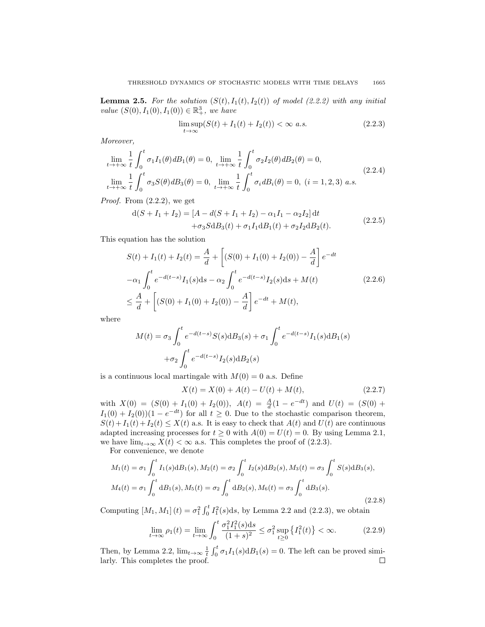**Lemma 2.5.** For the solution  $(S(t), I_1(t), I_2(t))$  of model (2.2.2) with any initial value  $(S(0), I_1(0), I_1(0)) \in \mathbb{R}^3_+$ , we have

$$
\limsup_{t \to \infty} (S(t) + I_1(t) + I_2(t)) < \infty \text{ a.s.} \tag{2.2.3}
$$

Moreover,

$$
\lim_{t \to +\infty} \frac{1}{t} \int_0^t \sigma_1 I_1(\theta) dB_1(\theta) = 0, \quad \lim_{t \to +\infty} \frac{1}{t} \int_0^t \sigma_2 I_2(\theta) dB_2(\theta) = 0,
$$
\n
$$
\lim_{t \to +\infty} \frac{1}{t} \int_0^t \sigma_3 S(\theta) dB_3(\theta) = 0, \quad \lim_{t \to +\infty} \frac{1}{t} \int_0^t \sigma_i dB_i(\theta) = 0, \quad (i = 1, 2, 3) \text{ a.s.}
$$
\n(2.2.4)

*Proof.* From  $(2.2.2)$ , we get

$$
d(S + I_1 + I_2) = [A - d(S + I_1 + I_2) - \alpha_1 I_1 - \alpha_2 I_2] dt + \sigma_3 S dB_3(t) + \sigma_1 I_1 dB_1(t) + \sigma_2 I_2 dB_2(t).
$$
 (2.2.5)

This equation has the solution

$$
S(t) + I_1(t) + I_2(t) = \frac{A}{d} + \left[ (S(0) + I_1(0) + I_2(0)) - \frac{A}{d} \right] e^{-dt}
$$
  

$$
-\alpha_1 \int_0^t e^{-d(t-s)} I_1(s) ds - \alpha_2 \int_0^t e^{-d(t-s)} I_2(s) ds + M(t)
$$
  

$$
\leq \frac{A}{d} + \left[ (S(0) + I_1(0) + I_2(0)) - \frac{A}{d} \right] e^{-dt} + M(t),
$$
 (2.2.6)

where

$$
M(t) = \sigma_3 \int_0^t e^{-d(t-s)} S(s) dB_3(s) + \sigma_1 \int_0^t e^{-d(t-s)} I_1(s) dB_1(s)
$$
  
+
$$
\sigma_2 \int_0^t e^{-d(t-s)} I_2(s) dB_2(s)
$$

is a continuous local martingale with  $M(0) = 0$  a.s. Define

$$
X(t) = X(0) + A(t) - U(t) + M(t),
$$
\n(2.2.7)

with  $X(0) = (S(0) + I_1(0) + I_2(0)),$   $A(t) = \frac{A}{d}(1 - e^{-dt})$  and  $U(t) = (S(0) +$  $I_1(0) + I_2(0)$   $(1 - e^{-dt})$  for all  $t \geq 0$ . Due to the stochastic comparison theorem,  $S(t)+I_1(t)+I_2(t) \leq X(t)$  a.s. It is easy to check that  $A(t)$  and  $U(t)$  are continuous adapted increasing processes for  $t \geq 0$  with  $A(0) = U(t) = 0$ . By using Lemma 2.1, we have  $\lim_{t\to\infty} X(t) < \infty$  a.s. This completes the proof of (2.2.3).

For convenience, we denote

$$
M_1(t) = \sigma_1 \int_0^t I_1(s) dB_1(s), M_2(t) = \sigma_2 \int_0^t I_2(s) dB_2(s), M_3(t) = \sigma_3 \int_0^t S(s) dB_3(s),
$$
  

$$
M_4(t) = \sigma_1 \int_0^t dB_1(s), M_5(t) = \sigma_2 \int_0^t dB_2(s), M_6(t) = \sigma_3 \int_0^t dB_3(s).
$$
\n(2.2.8)

Computing  $[M_1, M_1](t) = \sigma_1^2 \int_0^t I_1^2(s) \, ds$ , by Lemma 2.2 and (2.2.3), we obtain

$$
\lim_{t \to \infty} \rho_1(t) = \lim_{t \to \infty} \int_0^t \frac{\sigma_1^2 I_1^2(s) \, \mathrm{d}s}{(1+s)^2} \le \sigma_1^2 \sup_{t \ge 0} \left\{ I_1^2(t) \right\} < \infty. \tag{2.2.9}
$$

Then, by Lemma 2.2,  $\lim_{t\to\infty} \frac{1}{t} \int_0^t \sigma_1 I_1(s) dB_1(s) = 0$ . The left can be proved similarly. This completes the proof.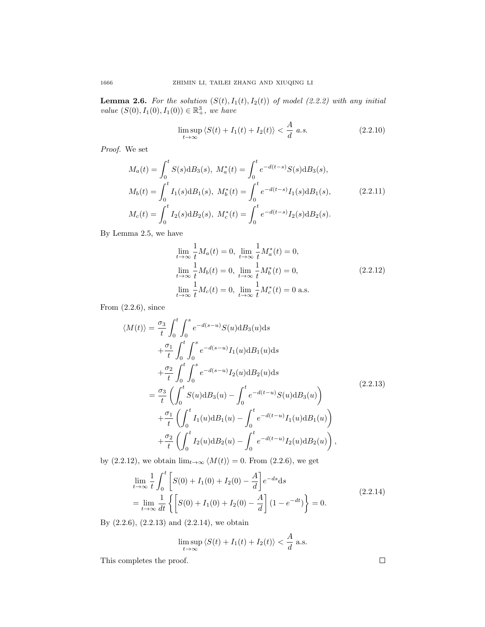**Lemma 2.6.** For the solution  $(S(t), I_1(t), I_2(t))$  of model (2.2.2) with any initial value  $(S(0), I_1(0), I_1(0)) \in \mathbb{R}^3_+$ , we have

$$
\limsup_{t \to \infty} \langle S(t) + I_1(t) + I_2(t) \rangle < \frac{A}{d} \ a.s. \tag{2.2.10}
$$

Proof. We set

$$
M_a(t) = \int_0^t S(s) dB_3(s), \ M_a^*(t) = \int_0^t e^{-d(t-s)} S(s) dB_3(s),
$$
  
\n
$$
M_b(t) = \int_0^t I_1(s) dB_1(s), \ M_b^*(t) = \int_0^t e^{-d(t-s)} I_1(s) dB_1(s),
$$
  
\n
$$
M_c(t) = \int_0^t I_2(s) dB_2(s), \ M_c^*(t) = \int_0^t e^{-d(t-s)} I_2(s) dB_2(s).
$$
\n(2.2.11)

By Lemma 2.5, we have

$$
\lim_{t \to \infty} \frac{1}{t} M_a(t) = 0, \lim_{t \to \infty} \frac{1}{t} M_a^*(t) = 0,
$$
\n
$$
\lim_{t \to \infty} \frac{1}{t} M_b(t) = 0, \lim_{t \to \infty} \frac{1}{t} M_b^*(t) = 0,
$$
\n
$$
\lim_{t \to \infty} \frac{1}{t} M_c(t) = 0, \lim_{t \to \infty} \frac{1}{t} M_c^*(t) = 0 \text{ a.s.}
$$
\n(2.2.12)

From  $(2.2.6)$ , since

$$
\langle M(t) \rangle = \frac{\sigma_3}{t} \int_0^t \int_0^s e^{-d(s-u)} S(u) \mathrm{d}B_3(u) \mathrm{d}s \n+ \frac{\sigma_1}{t} \int_0^t \int_0^s e^{-d(s-u)} I_1(u) \mathrm{d}B_1(u) \mathrm{d}s \n+ \frac{\sigma_2}{t} \int_0^t \int_0^s e^{-d(s-u)} I_2(u) \mathrm{d}B_2(u) \mathrm{d}s \n= \frac{\sigma_3}{t} \left( \int_0^t S(u) \mathrm{d}B_3(u) - \int_0^t e^{-d(t-u)} S(u) \mathrm{d}B_3(u) \right) \n+ \frac{\sigma_1}{t} \left( \int_0^t I_1(u) \mathrm{d}B_1(u) - \int_0^t e^{-d(t-u)} I_1(u) \mathrm{d}B_1(u) \right) \n+ \frac{\sigma_2}{t} \left( \int_0^t I_2(u) \mathrm{d}B_2(u) - \int_0^t e^{-d(t-u)} I_2(u) \mathrm{d}B_2(u) \right),
$$
\n(2.2.13)

by (2.2.12), we obtain  $\lim_{t\to\infty} \langle M(t) \rangle = 0$ . From (2.2.6), we get

$$
\lim_{t \to \infty} \frac{1}{t} \int_0^t \left[ S(0) + I_1(0) + I_2(0) - \frac{A}{d} \right] e^{-ds} ds
$$
\n
$$
= \lim_{t \to \infty} \frac{1}{dt} \left\{ \left[ S(0) + I_1(0) + I_2(0) - \frac{A}{d} \right] (1 - e^{-dt}) \right\} = 0.
$$
\n(2.2.14)

By (2.2.6), (2.2.13) and (2.2.14), we obtain

$$
\limsup_{t\to\infty} \langle S(t)+I_1(t)+I_2(t)\rangle < \frac{A}{d}
$$
 a.s.

This completes the proof.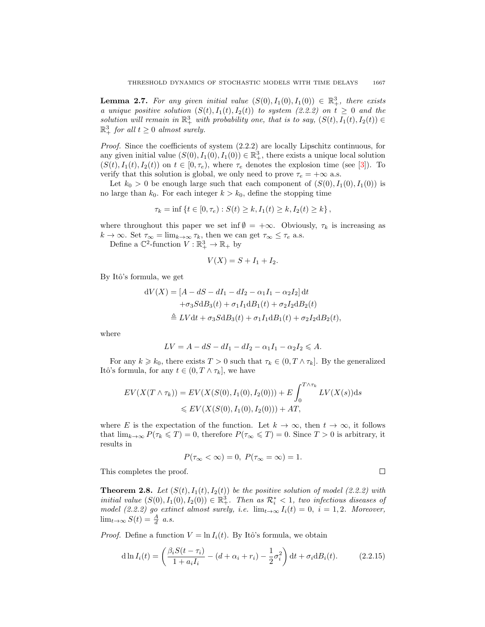**Lemma 2.7.** For any given initial value  $(S(0), I_1(0), I_1(0)) \in \mathbb{R}^3_+$ , there exists a unique positive solution  $(S(t), I_1(t), I_2(t))$  to system (2.2.2) on  $t \geq 0$  and the solution will remain in  $\mathbb{R}^3_+$  with probability one, that is to say,  $(S(t), I_1(t), I_2(t)) \in$  $\mathbb{R}^3_+$  for all  $t \geq 0$  almost surely.

Proof. Since the coefficients of system (2.2.2) are locally Lipschitz continuous, for any given initial value  $(S(0), I_1(0), I_1(0)) \in \mathbb{R}^3_+$ , there exists a unique local solution  $(S(t), I_1(t), I_2(t))$  on  $t \in [0, \tau_e)$ , where  $\tau_e$  denotes the explosion time (see [\[3\]](#page-17-1)). To verify that this solution is global, we only need to prove  $\tau_e = +\infty$  a.s.

Let  $k_0 > 0$  be enough large such that each component of  $(S(0), I_1(0), I_1(0))$  is no large than  $k_0$ . For each integer  $k > k_0$ , define the stopping time

$$
\tau_k = \inf \{ t \in [0, \tau_e) : S(t) \ge k, I_1(t) \ge k, I_2(t) \ge k \},
$$

where throughout this paper we set inf  $\emptyset = +\infty$ . Obviously,  $\tau_k$  is increasing as  $k \to \infty$ . Set  $\tau_{\infty} = \lim_{k \to \infty} \tau_k$ , then we can get  $\tau_{\infty} \leq \tau_e$  a.s.

Define a  $\mathbb{C}^2$ -function  $V : \mathbb{R}^3_+ \to \mathbb{R}_+$  by

$$
V(X) = S + I_1 + I_2.
$$

By Itô's formula, we get

$$
dV(X) = [A - dS - dI_1 - dI_2 - \alpha_1 I_1 - \alpha_2 I_2] dt + \sigma_3 S dB_3(t) + \sigma_1 I_1 dB_1(t) + \sigma_2 I_2 dB_2(t) \n\triangleq LV dt + \sigma_3 S dB_3(t) + \sigma_1 I_1 dB_1(t) + \sigma_2 I_2 dB_2(t),
$$

where

$$
LV = A - dS - dI_1 - dI_2 - \alpha_1 I_1 - \alpha_2 I_2 \leqslant A.
$$

For any  $k \geq k_0$ , there exists  $T > 0$  such that  $\tau_k \in (0, T \wedge \tau_k]$ . By the generalized Itô's formula, for any  $t \in (0, T \wedge \tau_k]$ , we have

$$
EV(X(T \wedge \tau_k)) = EV(X(S(0), I_1(0), I_2(0))) + E \int_0^{T \wedge \tau_k} LV(X(s)) ds
$$
  
\$\leqslant EV(X(S(0), I\_1(0), I\_2(0))) + AT\$,

where E is the expectation of the function. Let  $k \to \infty$ , then  $t \to \infty$ , it follows that  $\lim_{k\to\infty} P(\tau_k \leq T) = 0$ , therefore  $P(\tau_\infty \leq T) = 0$ . Since  $T > 0$  is arbitrary, it results in

$$
P(\tau_{\infty} < \infty) = 0, P(\tau_{\infty} = \infty) = 1.
$$

 $\Box$ 

This completes the proof.

**Theorem 2.8.** Let  $(S(t), I_1(t), I_2(t))$  be the positive solution of model (2.2.2) with initial value  $(S(0), I_1(0), I_2(0)) \in \mathbb{R}^3_+$ . Then as  $\mathcal{R}^*_i < 1$ , two infectious diseases of model (2.2.2) go extinct almost surely, i.e.  $\lim_{t\to\infty} I_i(t) = 0$ ,  $i = 1, 2$ . Moreover,  $\lim_{t\to\infty} S(t) = \frac{A}{d} a.s.$ 

*Proof.* Define a function  $V = \ln I_i(t)$ . By Itô's formula, we obtain

$$
\mathrm{d}\ln I_i(t) = \left(\frac{\beta_i S(t-\tau_i)}{1+a_i I_i} - (d+\alpha_i+r_i) - \frac{1}{2}\sigma_i^2\right) \mathrm{d}t + \sigma_i \mathrm{d}B_i(t). \tag{2.2.15}
$$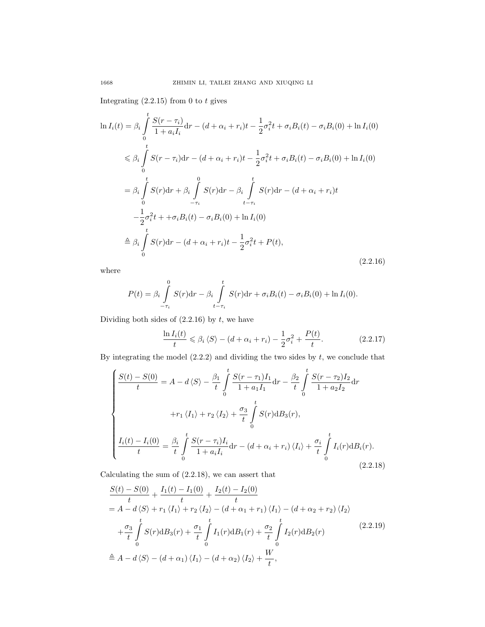Integrating  $(2.2.15)$  from 0 to t gives

$$
\ln I_i(t) = \beta_i \int_0^t \frac{S(r - \tau_i)}{1 + a_i I_i} dr - (d + \alpha_i + r_i)t - \frac{1}{2}\sigma_i^2 t + \sigma_i B_i(t) - \sigma_i B_i(0) + \ln I_i(0)
$$
  
\n
$$
\leq \beta_i \int_0^t S(r - \tau_i) dr - (d + \alpha_i + r_i)t - \frac{1}{2}\sigma_i^2 t + \sigma_i B_i(t) - \sigma_i B_i(0) + \ln I_i(0)
$$
  
\n
$$
= \beta_i \int_0^t S(r) dr + \beta_i \int_{-\tau_i}^0 S(r) dr - \beta_i \int_{t - \tau_i}^t S(r) dr - (d + \alpha_i + r_i)t
$$
  
\n
$$
- \frac{1}{2}\sigma_i^2 t + \sigma_i B_i(t) - \sigma_i B_i(0) + \ln I_i(0)
$$
  
\n
$$
\stackrel{\text{d}}{=} \beta_i \int_0^t S(r) dr - (d + \alpha_i + r_i)t - \frac{1}{2}\sigma_i^2 t + P(t),
$$
\n(2.2.16)

where

$$
P(t) = \beta_i \int_{-\tau_i}^{0} S(r) dr - \beta_i \int_{t-\tau_i}^{t} S(r) dr + \sigma_i B_i(t) - \sigma_i B_i(0) + \ln I_i(0).
$$

Dividing both sides of  $(2.2.16)$  by t, we have

$$
\frac{\ln I_i(t)}{t} \leq \beta_i \langle S \rangle - (d + \alpha_i + r_i) - \frac{1}{2}\sigma_i^2 + \frac{P(t)}{t}.
$$
 (2.2.17)

By integrating the model  $(2.2.2)$  and dividing the two sides by  $t$ , we conclude that

$$
\begin{cases}\n\frac{S(t) - S(0)}{t} = A - d\langle S \rangle - \frac{\beta_1}{t} \int_0^t \frac{S(r - \tau_1)I_1}{1 + a_1 I_1} dr - \frac{\beta_2}{t} \int_0^t \frac{S(r - \tau_2)I_2}{1 + a_2 I_2} dr \\
+ r_1 \langle I_1 \rangle + r_2 \langle I_2 \rangle + \frac{\sigma_3}{t} \int_0^t S(r) dB_3(r), \\
\frac{I_i(t) - I_i(0)}{t} = \frac{\beta_i}{t} \int_0^t \frac{S(r - \tau_i)I_i}{1 + a_i I_i} dr - (d + \alpha_i + r_i) \langle I_i \rangle + \frac{\sigma_i}{t} \int_0^t I_i(r) dB_i(r).\n\end{cases}
$$
\n(2.2.18)

Calculating the sum of (2.2.18), we can assert that

$$
\frac{S(t) - S(0)}{t} + \frac{I_1(t) - I_1(0)}{t} + \frac{I_2(t) - I_2(0)}{t}
$$
\n
$$
= A - d\langle S \rangle + r_1 \langle I_1 \rangle + r_2 \langle I_2 \rangle - (d + \alpha_1 + r_1) \langle I_1 \rangle - (d + \alpha_2 + r_2) \langle I_2 \rangle
$$
\n
$$
+ \frac{\sigma_3}{t} \int_0^t S(r) \mathrm{d}B_3(r) + \frac{\sigma_1}{t} \int_0^t I_1(r) \mathrm{d}B_1(r) + \frac{\sigma_2}{t} \int_0^t I_2(r) \mathrm{d}B_2(r)
$$
\n
$$
\triangleq A - d\langle S \rangle - (d + \alpha_1) \langle I_1 \rangle - (d + \alpha_2) \langle I_2 \rangle + \frac{W}{t}, \tag{2.2.19}
$$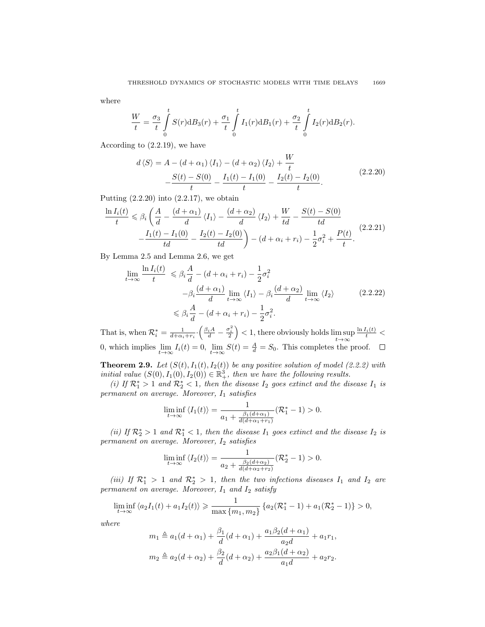where

$$
\frac{W}{t} = \frac{\sigma_3}{t} \int_{0}^{t} S(r) dB_3(r) + \frac{\sigma_1}{t} \int_{0}^{t} I_1(r) dB_1(r) + \frac{\sigma_2}{t} \int_{0}^{t} I_2(r) dB_2(r).
$$

According to (2.2.19), we have

$$
d\langle S \rangle = A - (d + \alpha_1) \langle I_1 \rangle - (d + \alpha_2) \langle I_2 \rangle + \frac{W}{t}
$$
  
 
$$
- \frac{S(t) - S(0)}{t} - \frac{I_1(t) - I_1(0)}{t} - \frac{I_2(t) - I_2(0)}{t}.
$$
 (2.2.20)

 $- - -$ 

Putting  $(2.2.20)$  into  $(2.2.17)$ , we obtain

$$
\frac{\ln I_i(t)}{t} \leq \beta_i \left( \frac{A}{d} - \frac{(d+\alpha_1)}{d} \langle I_1 \rangle - \frac{(d+\alpha_2)}{d} \langle I_2 \rangle + \frac{W}{td} - \frac{S(t) - S(0)}{td} \right)
$$
\n
$$
- \frac{I_1(t) - I_1(0)}{td} - \frac{I_2(t) - I_2(0)}{td} \right) - (d+\alpha_i + r_i) - \frac{1}{2}\sigma_i^2 + \frac{P(t)}{t}.
$$
\n(2.2.21)

By Lemma 2.5 and Lemma 2.6, we get

$$
\lim_{t \to \infty} \frac{\ln I_i(t)}{t} \leq \beta_i \frac{A}{d} - (d + \alpha_i + r_i) - \frac{1}{2} \sigma_i^2
$$
\n
$$
-\beta_i \frac{(d + \alpha_1)}{d} \lim_{t \to \infty} \langle I_1 \rangle - \beta_i \frac{(d + \alpha_2)}{d} \lim_{t \to \infty} \langle I_2 \rangle \qquad (2.2.22)
$$
\n
$$
\leq \beta_i \frac{A}{d} - (d + \alpha_i + r_i) - \frac{1}{2} \sigma_i^2.
$$

That is, when  $\mathcal{R}_i^* = \frac{1}{d + \alpha_i + r_i} \cdot \left( \frac{\beta_i A}{d} - \frac{\sigma_i^2}{2} \right) < 1$ , there obviously holds  $\limsup_{t \to \infty}$  $\frac{\ln I_i(t)}{t}$  < 0, which implies  $\lim_{t\to\infty} I_i(t) = 0$ ,  $\lim_{t\to\infty} S(t) = \frac{A}{d} = S_0$ . This completes the proof.

**Theorem 2.9.** Let  $(S(t), I_1(t), I_2(t))$  be any positive solution of model (2.2.2) with initial value  $(S(0), I_1(0), I_2(0)) \in \mathbb{R}^3_+$ , then we have the following results.

(i) If  $\mathcal{R}_1^* > 1$  and  $\mathcal{R}_2^* < 1$ , then the disease  $I_2$  goes extinct and the disease  $I_1$  is  $permannent$  on average. Moreover,  $I_1$  satisfies

$$
\liminf_{t \to \infty} \langle I_1(t) \rangle = \frac{1}{a_1 + \frac{\beta_1(d + \alpha_1)}{d(d + \alpha_1 + r_1)}} (\mathcal{R}_1^* - 1) > 0.
$$

(ii) If  $\mathcal{R}_2^* > 1$  and  $\mathcal{R}_1^* < 1$ , then the disease  $I_1$  goes extinct and the disease  $I_2$  is permanent on average. Moreover,  $I_2$  satisfies

$$
\liminf_{t \to \infty} \langle I_2(t) \rangle = \frac{1}{a_2 + \frac{\beta_2(d + \alpha_2)}{d(d + \alpha_2 + r_2)}} (\mathcal{R}_2^* - 1) > 0.
$$

(iii) If  $\mathcal{R}_1^*$  > 1 and  $\mathcal{R}_2^*$  > 1, then the two infections diseases  $I_1$  and  $I_2$  are permanent on average. Moreover,  $I_1$  and  $I_2$  satisfy

$$
\liminf_{t \to \infty} \langle a_2 I_1(t) + a_1 I_2(t) \rangle \geq \frac{1}{\max \{m_1, m_2\}} \left\{ a_2 (\mathcal{R}_1^* - 1) + a_1 (\mathcal{R}_2^* - 1) \right\} > 0,
$$

where

$$
m_1 \triangleq a_1(d + \alpha_1) + \frac{\beta_1}{d}(d + \alpha_1) + \frac{a_1\beta_2(d + \alpha_1)}{a_2d} + a_1r_1,
$$
  

$$
m_2 \triangleq a_2(d + \alpha_2) + \frac{\beta_2}{d}(d + \alpha_2) + \frac{a_2\beta_1(d + \alpha_2)}{a_1d} + a_2r_2.
$$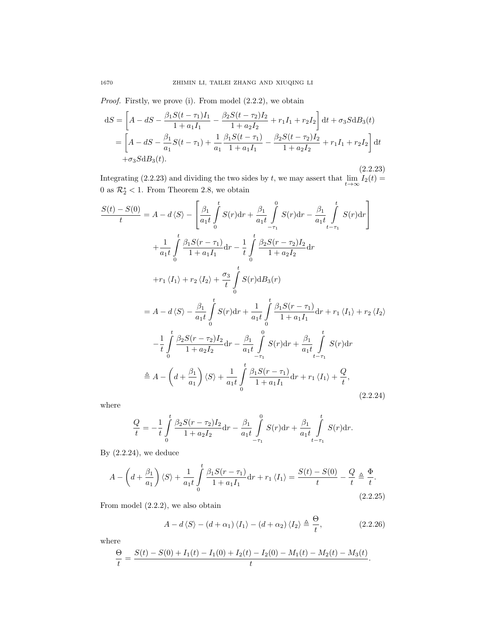Proof. Firstly, we prove (i). From model  $(2.2.2)$ , we obtain

$$
dS = \left[A - dS - \frac{\beta_1 S(t - \tau_1) I_1}{1 + a_1 I_1} - \frac{\beta_2 S(t - \tau_2) I_2}{1 + a_2 I_2} + r_1 I_1 + r_2 I_2\right] dt + \sigma_3 S dB_3(t)
$$
  
= 
$$
\left[A - dS - \frac{\beta_1}{a_1} S(t - \tau_1) + \frac{1}{a_1} \frac{\beta_1 S(t - \tau_1)}{1 + a_1 I_1} - \frac{\beta_2 S(t - \tau_2) I_2}{1 + a_2 I_2} + r_1 I_1 + r_2 I_2\right] dt
$$

$$
+ \sigma_3 S dB_3(t).
$$

(2.2.23) Integrating (2.2.23) and dividing the two sides by t, we may assert that  $\lim_{t\to\infty} I_2(t) =$ 0 as  $\mathcal{R}_2^* < 1$ . From Theorem 2.8, we obtain

$$
\frac{S(t) - S(0)}{t} = A - d\langle S \rangle - \left[ \frac{\beta_1}{a_1 t} \int_0^t S(r) dr + \frac{\beta_1}{a_1 t} \int_{-\tau_1}^0 S(r) dr - \frac{\beta_1}{a_1 t} \int_{t-\tau_1}^t S(r) dr \right]
$$
  
+ 
$$
\frac{1}{a_1 t} \int_0^t \frac{\beta_1 S(r - \tau_1)}{1 + a_1 I_1} dr - \frac{1}{t} \int_0^t \frac{\beta_2 S(r - \tau_2) I_2}{1 + a_2 I_2} dr
$$
  
+ 
$$
r_1 \langle I_1 \rangle + r_2 \langle I_2 \rangle + \frac{\sigma_3}{t} \int_0^t S(r) dB_3(r)
$$
  
= 
$$
A - d\langle S \rangle - \frac{\beta_1}{a_1 t} \int_0^t S(r) dr + \frac{1}{a_1 t} \int_0^t \frac{\beta_1 S(r - \tau_1)}{1 + a_1 I_1} dr + r_1 \langle I_1 \rangle + r_2 \langle I_2 \rangle
$$
  
- 
$$
-\frac{1}{t} \int_0^t \frac{\beta_2 S(r - \tau_2) I_2}{1 + a_2 I_2} dr - \frac{\beta_1}{a_1 t} \int_{-\tau_1}^0 S(r) dr + \frac{\beta_1}{a_1 t} \int_{t-\tau_1}^t S(r) dr
$$
  

$$
\triangleq A - \left( d + \frac{\beta_1}{a_1} \right) \langle S \rangle + \frac{1}{a_1 t} \int_0^t \frac{\beta_1 S(r - \tau_1)}{1 + a_1 I_1} dr + r_1 \langle I_1 \rangle + \frac{Q}{t},
$$
(2.2.24)

where

$$
\frac{Q}{t} = -\frac{1}{t} \int_{0}^{t} \frac{\beta_2 S(r - \tau_2) I_2}{1 + a_2 I_2} dr - \frac{\beta_1}{a_1 t} \int_{-\tau_1}^{0} S(r) dr + \frac{\beta_1}{a_1 t} \int_{t - \tau_1}^{t} S(r) dr.
$$

By  $(2.2.24)$ , we deduce

$$
A - \left(d + \frac{\beta_1}{a_1}\right)\langle S \rangle + \frac{1}{a_1 t} \int_0^t \frac{\beta_1 S(r - \tau_1)}{1 + a_1 I_1} dr + r_1 \langle I_1 \rangle = \frac{S(t) - S(0)}{t} - \frac{Q}{t} \triangleq \frac{\Phi}{t}.
$$
\n(2.3.25)

(2.2.25)

From model (2.2.2), we also obtain

$$
A - d\langle S \rangle - (d + \alpha_1) \langle I_1 \rangle - (d + \alpha_2) \langle I_2 \rangle \triangleq \frac{\Theta}{t}, \qquad (2.2.26)
$$

where

$$
\frac{\Theta}{t} = \frac{S(t) - S(0) + I_1(t) - I_1(0) + I_2(t) - I_2(0) - M_1(t) - M_2(t) - M_3(t)}{t}.
$$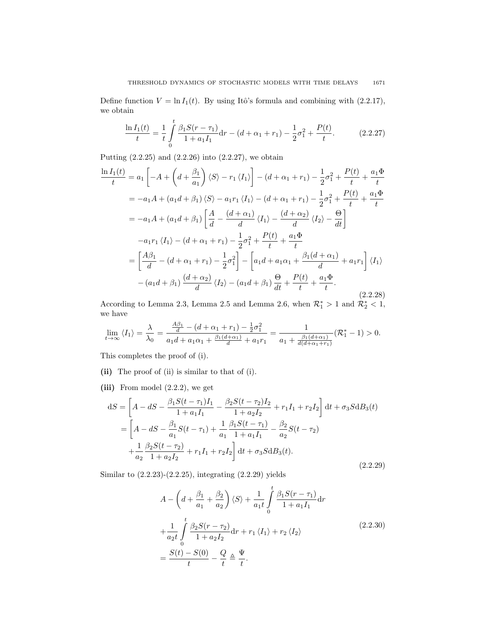Define function  $V = \ln I_1(t)$ . By using Itô's formula and combining with (2.2.17), we obtain

$$
\frac{\ln I_1(t)}{t} = \frac{1}{t} \int_0^t \frac{\beta_1 S(r - \tau_1)}{1 + a_1 I_1} dr - (d + \alpha_1 + r_1) - \frac{1}{2} \sigma_1^2 + \frac{P(t)}{t}.
$$
 (2.2.27)

Putting (2.2.25) and (2.2.26) into (2.2.27), we obtain

$$
\frac{\ln I_1(t)}{t} = a_1 \left[ -A + \left( d + \frac{\beta_1}{a_1} \right) \langle S \rangle - r_1 \langle I_1 \rangle \right] - (d + \alpha_1 + r_1) - \frac{1}{2} \sigma_1^2 + \frac{P(t)}{t} + \frac{a_1 \Phi}{t}
$$
\n
$$
= -a_1 A + (a_1 d + \beta_1) \langle S \rangle - a_1 r_1 \langle I_1 \rangle - (d + \alpha_1 + r_1) - \frac{1}{2} \sigma_1^2 + \frac{P(t)}{t} + \frac{a_1 \Phi}{t}
$$
\n
$$
= -a_1 A + (a_1 d + \beta_1) \left[ \frac{A}{d} - \frac{(d + \alpha_1)}{d} \langle I_1 \rangle - \frac{(d + \alpha_2)}{d} \langle I_2 \rangle - \frac{\Theta}{dt} \right]
$$
\n
$$
-a_1 r_1 \langle I_1 \rangle - (d + \alpha_1 + r_1) - \frac{1}{2} \sigma_1^2 + \frac{P(t)}{t} + \frac{a_1 \Phi}{t}
$$
\n
$$
= \left[ \frac{A\beta_1}{d} - (d + \alpha_1 + r_1) - \frac{1}{2} \sigma_1^2 \right] - \left[ a_1 d + a_1 \alpha_1 + \frac{\beta_1 (d + \alpha_1)}{d} + a_1 r_1 \right] \langle I_1 \rangle
$$
\n
$$
- (a_1 d + \beta_1) \frac{(d + \alpha_2)}{d} \langle I_2 \rangle - (a_1 d + \beta_1) \frac{\Theta}{dt} + \frac{P(t)}{t} + \frac{a_1 \Phi}{t}.
$$
\n(2.2.28)

According to Lemma 2.3, Lemma 2.5 and Lemma 2.6, when  $\mathcal{R}_1^* > 1$  and  $\mathcal{R}_2^* < 1$ , we have

$$
\lim_{t \to \infty} \langle I_1 \rangle = \frac{\lambda}{\lambda_0} = \frac{\frac{A\beta_1}{d} - (d + \alpha_1 + r_1) - \frac{1}{2}\sigma_1^2}{a_1 d + a_1 \alpha_1 + \frac{\beta_1(d + \alpha_1)}{d} + a_1 r_1} = \frac{1}{a_1 + \frac{\beta_1(d + \alpha_1)}{d(d + \alpha_1 + r_1)}} (\mathcal{R}_1^* - 1) > 0.
$$

This completes the proof of (i).

- (ii) The proof of (ii) is similar to that of (i).
- (iii) From model  $(2.2.2)$ , we get

$$
dS = \left[A - dS - \frac{\beta_1 S(t - \tau_1) I_1}{1 + a_1 I_1} - \frac{\beta_2 S(t - \tau_2) I_2}{1 + a_2 I_2} + r_1 I_1 + r_2 I_2\right] dt + \sigma_3 S dB_3(t)
$$
  
= 
$$
\left[A - dS - \frac{\beta_1}{a_1} S(t - \tau_1) + \frac{1}{a_1} \frac{\beta_1 S(t - \tau_1)}{1 + a_1 I_1} - \frac{\beta_2}{a_2} S(t - \tau_2) + \frac{1}{a_2} \frac{\beta_2 S(t - \tau_2)}{1 + a_2 I_2} + r_1 I_1 + r_2 I_2\right] dt + \sigma_3 S dB_3(t).
$$
(2.2.29)

Similar to (2.2.23)-(2.2.25), integrating (2.2.29) yields

$$
A - \left(d + \frac{\beta_1}{a_1} + \frac{\beta_2}{a_2}\right)\langle S \rangle + \frac{1}{a_1 t} \int_0^t \frac{\beta_1 S(r - \tau_1)}{1 + a_1 I_1} dr
$$
  
+ 
$$
\frac{1}{a_2 t} \int_0^t \frac{\beta_2 S(r - \tau_2)}{1 + a_2 I_2} dr + r_1 \langle I_1 \rangle + r_2 \langle I_2 \rangle
$$
  
= 
$$
\frac{S(t) - S(0)}{t} - \frac{Q}{t} \triangleq \frac{\Psi}{t}.
$$
 (2.2.30)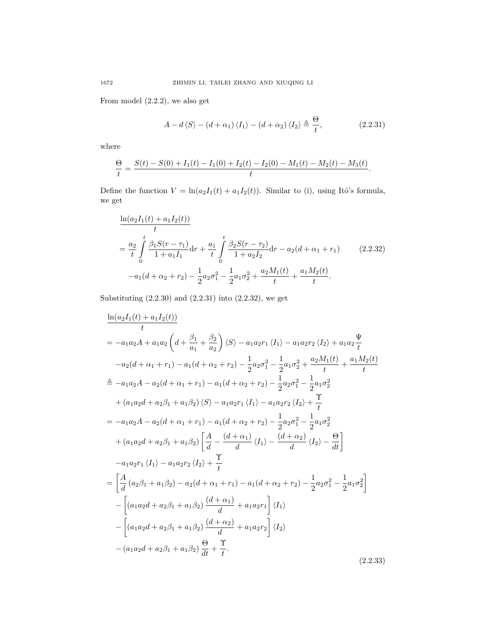From model (2.2.2), we also get

$$
A - d\langle S \rangle - (d + \alpha_1) \langle I_1 \rangle - (d + \alpha_2) \langle I_2 \rangle \triangleq \frac{\Theta}{t}, \qquad (2.2.31)
$$

where

$$
\frac{\Theta}{t} = \frac{S(t) - S(0) + I_1(t) - I_1(0) + I_2(t) - I_2(0) - M_1(t) - M_2(t) - M_3(t)}{t}.
$$

Define the function  $V = \ln(a_2I_1(t) + a_1I_2(t))$ . Similar to (i), using Itô's formula, we get

$$
\frac{\ln(a_2I_1(t) + a_1I_2(t))}{t}
$$
\n
$$
= \frac{a_2}{t} \int_0^t \frac{\beta_1S(r - \tau_1)}{1 + a_1I_1} dr + \frac{a_1}{t} \int_0^t \frac{\beta_2S(r - \tau_2)}{1 + a_2I_2} dr - a_2(d + \alpha_1 + r_1) \qquad (2.2.32)
$$
\n
$$
-a_1(d + \alpha_2 + r_2) - \frac{1}{2}a_2\sigma_1^2 - \frac{1}{2}a_1\sigma_2^2 + \frac{a_2M_1(t)}{t} + \frac{a_1M_2(t)}{t}.
$$

Substituting  $(2.2.30)$  and  $(2.2.31)$  into  $(2.2.32)$ , we get

$$
\frac{\ln(a_2I_1(t) + a_1I_2(t))}{t}
$$
\n
$$
= -a_1a_2A + a_1a_2\left(d + \frac{\beta_1}{a_1} + \frac{\beta_2}{a_2}\right)\langle S \rangle - a_1a_2r_1\langle I_1 \rangle - a_1a_2r_2\langle I_2 \rangle + a_1a_2\frac{\Psi}{t}
$$
\n
$$
-a_2(d + \alpha_1 + r_1) - a_1(d + \alpha_2 + r_2) - \frac{1}{2}a_2\sigma_1^2 - \frac{1}{2}a_1\sigma_2^2 + \frac{a_2M_1(t)}{t} + \frac{a_1M_2(t)}{t}
$$
\n
$$
\stackrel{\triangle}{=} -a_1a_2A - a_2(d + \alpha_1 + r_1) - a_1(d + \alpha_2 + r_2) - \frac{1}{2}a_2\sigma_1^2 - \frac{1}{2}a_1\sigma_2^2
$$
\n
$$
+ (a_1a_2d + a_2\beta_1 + a_1\beta_2)\langle S \rangle - a_1a_2r_1\langle I_1 \rangle - a_1a_2r_2\langle I_2 \rangle + \frac{\Upsilon}{t}
$$
\n
$$
= -a_1a_2A - a_2(d + \alpha_1 + r_1) - a_1(d + \alpha_2 + r_2) - \frac{1}{2}a_2\sigma_1^2 - \frac{1}{2}a_1\sigma_2^2
$$
\n
$$
+ (a_1a_2d + a_2\beta_1 + a_1\beta_2)\left[\frac{A}{d} - \frac{(d + \alpha_1)}{d}\langle I_1 \rangle - \frac{(d + \alpha_2)}{d}\langle I_2 \rangle - \frac{\Theta}{dt}\right]
$$
\n
$$
-a_1a_2r_1\langle I_1 \rangle - a_1a_2r_2\langle I_2 \rangle + \frac{\Upsilon}{t}
$$
\n
$$
= \left[\frac{A}{d}(a_2\beta_1 + a_1\beta_2) - a_2(d + \alpha_1 + r_1) - a_1(d + \alpha_2 + r_2) - \frac{1}{2}a_2\sigma_1^2 - \frac{1}{2}a_1\sigma_2^2\right]
$$
\n
$$
- \left[ (a_1a_2d + a_2\beta
$$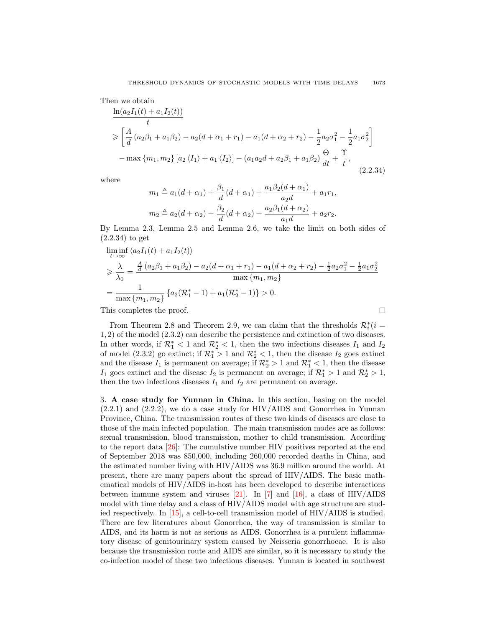Then we obtain

$$
\frac{\ln(a_2I_1(t) + a_1I_2(t))}{t}
$$
\n
$$
\geq \left[ \frac{A}{d} (a_2\beta_1 + a_1\beta_2) - a_2(d + \alpha_1 + r_1) - a_1(d + \alpha_2 + r_2) - \frac{1}{2}a_2\sigma_1^2 - \frac{1}{2}a_1\sigma_2^2 \right]
$$
\n
$$
- \max\{m_1, m_2\} \left[ a_2 \langle I_1 \rangle + a_1 \langle I_2 \rangle \right] - (a_1a_2d + a_2\beta_1 + a_1\beta_2) \frac{\Theta}{dt} + \frac{\Upsilon}{t},
$$
\n(2.2.34)

where

$$
m_1 \triangleq a_1(d + \alpha_1) + \frac{\beta_1}{d}(d + \alpha_1) + \frac{a_1\beta_2(d + \alpha_1)}{a_2d} + a_1r_1,
$$
  

$$
m_2 \triangleq a_2(d + \alpha_2) + \frac{\beta_2}{d}(d + \alpha_2) + \frac{a_2\beta_1(d + \alpha_2)}{a_1d} + a_2r_2.
$$

By Lemma 2.3, Lemma 2.5 and Lemma 2.6, we take the limit on both sides of (2.2.34) to get

$$
\liminf_{t \to \infty} \langle a_2 I_1(t) + a_1 I_2(t) \rangle
$$
\n
$$
\geq \frac{\lambda}{\lambda_0} = \frac{\frac{A}{d} (a_2 \beta_1 + a_1 \beta_2) - a_2 (d + \alpha_1 + r_1) - a_1 (d + \alpha_2 + r_2) - \frac{1}{2} a_2 \sigma_1^2 - \frac{1}{2} a_1 \sigma_2^2}{\max \{m_1, m_2\}} \left\{ a_2 (\mathcal{R}_1^* - 1) + a_1 (\mathcal{R}_2^* - 1) \right\} > 0.
$$

This completes the proof.

 $\Box$ 

From Theorem 2.8 and Theorem 2.9, we can claim that the thresholds  $\mathcal{R}_i^*(i =$ 1, 2) of the model (2.3.2) can describe the persistence and extinction of two diseases. In other words, if  $\mathcal{R}_1^*$  < 1 and  $\mathcal{R}_2^*$  < 1, then the two infections diseases  $I_1$  and  $I_2$ of model (2.3.2) go extinct; if  $\mathcal{R}_1^* > 1$  and  $\mathcal{R}_2^* < 1$ , then the disease  $I_2$  goes extinct and the disease  $I_1$  is permanent on average; if  $\mathcal{R}_2^* > 1$  and  $\mathcal{R}_1^* < 1$ , then the disease I<sub>1</sub> goes extinct and the disease I<sub>2</sub> is permanent on average; if  $\mathcal{R}_1^* > 1$  and  $\mathcal{R}_2^* > 1$ , then the two infections diseases  $I_1$  and  $I_2$  are permanent on average.

3. A case study for Yunnan in China. In this section, basing on the model (2.2.1) and (2.2.2), we do a case study for HIV/AIDS and Gonorrhea in Yunnan Province, China. The transmission routes of these two kinds of diseases are close to those of the main infected population. The main transmission modes are as follows: sexual transmission, blood transmission, mother to child transmission. According to the report data [\[26\]](#page-18-4): The cumulative number HIV positives reported at the end of September 2018 was 850,000, including 260,000 recorded deaths in China, and the estimated number living with HIV/AIDS was 36.9 million around the world. At present, there are many papers about the spread of HIV/AIDS. The basic mathematical models of HIV/AIDS in-host has been developed to describe interactions between immune system and viruses [\[21\]](#page-17-12). In [\[7\]](#page-17-13) and [\[16\]](#page-17-14), a class of HIV/AIDS model with time delay and a class of HIV/AIDS model with age structure are studied respectively. In [\[15\]](#page-17-15), a cell-to-cell transmission model of HIV/AIDS is studied. There are few literatures about Gonorrhea, the way of transmission is similar to AIDS, and its harm is not as serious as AIDS. Gonorrhea is a purulent inflammatory disease of genitourinary system caused by Neisseria gonorrhoeae. It is also because the transmission route and AIDS are similar, so it is necessary to study the co-infection model of these two infectious diseases. Yunnan is located in southwest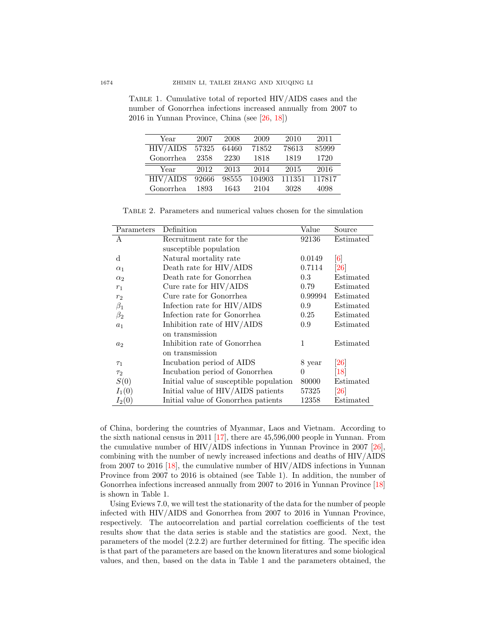| Year      | 2007  | 2008  | 2009   | 2010   | 2011   |
|-----------|-------|-------|--------|--------|--------|
| HIV/ALDS  | 57325 | 64460 | 71852  | 78613  | 85999  |
| Gonorrhea | 2358  | 2230  | 1818   | 1819   | 1720   |
| Year      | 2012  | 2013  | 2014   | 2015   | 2016   |
|           |       |       |        |        |        |
| HIV/ALDS  | 92666 | 98555 | 104903 | 111351 | 117817 |

Table 1. Cumulative total of reported HIV/AIDS cases and the number of Gonorrhea infections increased annually from 2007 to 2016 in Yunnan Province, China (see [\[26,](#page-18-4) [18\]](#page-17-16))

Table 2. Parameters and numerical values chosen for the simulation

| Parameters | Definition                              | Value    | Source             |
|------------|-----------------------------------------|----------|--------------------|
| А          | Recruitment rate for the                | 92136    | Estimated          |
|            | susceptible population                  |          |                    |
| d          | Natural mortality rate                  | 0.0149   | $\lceil 6 \rceil$  |
| $\alpha_1$ | Death rate for HIV/AIDS                 | 0.7114   | $\left[ 26\right]$ |
| $\alpha_2$ | Death rate for Gonorrhea                | 0.3      | Estimated          |
| $r_1$      | Cure rate for $HIV/AIDS$                | 0.79     | Estimated          |
| $r_2$      | Cure rate for Gonorrhea                 | 0.99994  | Estimated          |
| $\beta_1$  | Infection rate for HIV/AIDS             | 0.9      | Estimated          |
| $\beta_2$  | Infection rate for Gonorrhea            | 0.25     | Estimated          |
| $a_1$      | Inhibition rate of HIV/AIDS             | 0.9      | Estimated          |
|            | on transmission                         |          |                    |
| $a_2$      | Inhibition rate of Gonorrhea            | 1        | Estimated          |
|            | on transmission                         |          |                    |
| $\tau_1$   | Incubation period of AIDS               | 8 year   | $\left[ 26\right]$ |
| $\tau_2$   | Incubation period of Gonorrhea          | $\Omega$ | $\left[18\right]$  |
| S(0)       | Initial value of susceptible population | 80000    | Estimated          |
| $I_1(0)$   | Initial value of HIV/AIDS patients      | 57325    | <b>26</b>          |
| $I_2(0)$   | Initial value of Gonorrhea patients     | 12358    | Estimated          |

of China, bordering the countries of Myanmar, Laos and Vietnam. According to the sixth national census in 2011 [\[17\]](#page-17-18), there are 45,596,000 people in Yunnan. From the cumulative number of HIV/AIDS infections in Yunnan Province in 2007  $[26]$ , combining with the number of newly increased infections and deaths of HIV/AIDS from 2007 to 2016 [\[18\]](#page-17-16), the cumulative number of HIV/AIDS infections in Yunnan Province from 2007 to 2016 is obtained (see Table 1). In addition, the number of Gonorrhea infections increased annually from 2007 to 2016 in Yunnan Province [\[18\]](#page-17-16) is shown in Table 1.

Using Eviews 7.0, we will test the stationarity of the data for the number of people infected with HIV/AIDS and Gonorrhea from 2007 to 2016 in Yunnan Province, respectively. The autocorrelation and partial correlation coefficients of the test results show that the data series is stable and the statistics are good. Next, the parameters of the model (2.2.2) are further determined for fitting. The specific idea is that part of the parameters are based on the known literatures and some biological values, and then, based on the data in Table 1 and the parameters obtained, the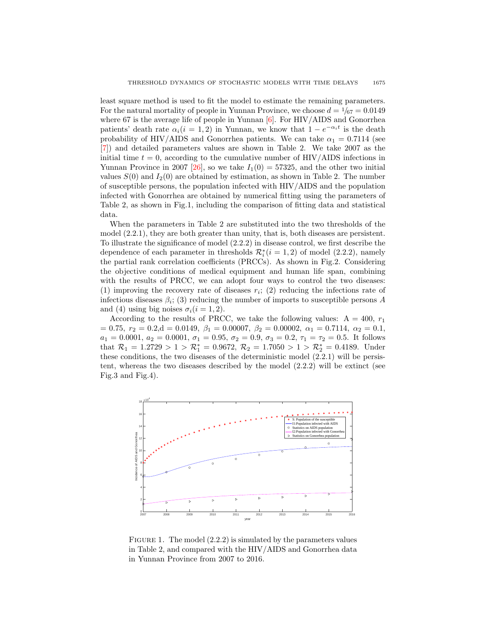least square method is used to fit the model to estimate the remaining parameters. For the natural mortality of people in Yunnan Province, we choose  $d = \frac{1}{67} = 0.0149$ where 67 is the average life of people in Yunnan  $[6]$ . For HIV/AIDS and Gonorrhea patients' death rate  $\alpha_i(i = 1, 2)$  in Yunnan, we know that  $1 - e^{-\alpha_i t}$  is the death probability of HIV/AIDS and Gonorrhea patients. We can take  $\alpha_1 = 0.7114$  (see [\[7\]](#page-17-13)) and detailed parameters values are shown in Table 2. We take 2007 as the initial time  $t = 0$ , according to the cumulative number of HIV/AIDS infections in Yunnan Province in 2007 [\[26\]](#page-18-4), so we take  $I_1(0) = 57325$ , and the other two initial values  $S(0)$  and  $I_2(0)$  are obtained by estimation, as shown in Table 2. The number of susceptible persons, the population infected with HIV/AIDS and the population infected with Gonorrhea are obtained by numerical fitting using the parameters of Table 2, as shown in Fig.1, including the comparison of fitting data and statistical data.

When the parameters in Table 2 are substituted into the two thresholds of the model (2.2.1), they are both greater than unity, that is, both diseases are persistent. To illustrate the significance of model (2.2.2) in disease control, we first describe the dependence of each parameter in thresholds  $\mathcal{R}_i^*(i=1,2)$  of model  $(2.2.2)$ , namely the partial rank correlation coefficients (PRCCs). As shown in Fig.2. Considering the objective conditions of medical equipment and human life span, combining with the results of PRCC, we can adopt four ways to control the two diseases: (1) improving the recovery rate of diseases  $r_i$ ; (2) reducing the infections rate of infectious diseases  $\beta_i$ ; (3) reducing the number of imports to susceptible persons A and (4) using big noises  $\sigma_i(i = 1, 2)$ .

According to the results of PRCC, we take the following values:  $A = 400, r_1$  $= 0.75, r_2 = 0.2, d = 0.0149, \ \beta_1 = 0.00007, \ \beta_2 = 0.00002, \ \alpha_1 = 0.7114, \ \alpha_2 = 0.1,$  $a_1 = 0.0001, a_2 = 0.0001, \sigma_1 = 0.95, \sigma_2 = 0.9, \sigma_3 = 0.2, \tau_1 = \tau_2 = 0.5$ . It follows that  $\mathcal{R}_1 = 1.2729 > 1 > \mathcal{R}_1^* = 0.9672$ ,  $\mathcal{R}_2 = 1.7050 > 1 > \mathcal{R}_2^* = 0.4189$ . Under these conditions, the two diseases of the deterministic model (2.2.1) will be persistent, whereas the two diseases described by the model (2.2.2) will be extinct (see Fig.3 and Fig.4).



FIGURE 1. The model  $(2.2.2)$  is simulated by the parameters values in Table 2, and compared with the HIV/AIDS and Gonorrhea data in Yunnan Province from 2007 to 2016.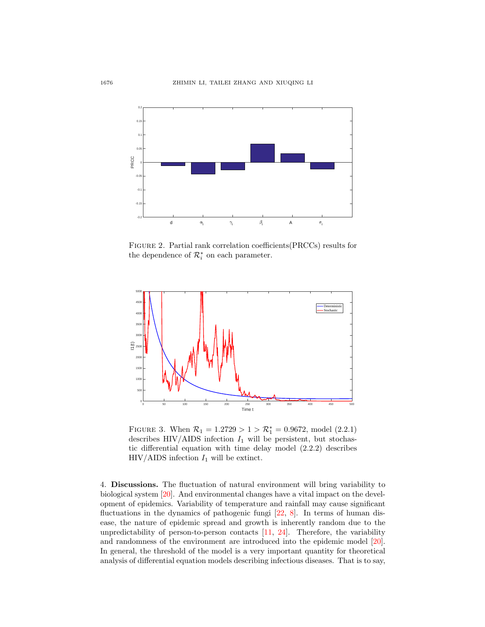

Figure 2. Partial rank correlation coefficients(PRCCs) results for the dependence of  $\mathcal{R}_i^*$  on each parameter.



FIGURE 3. When  $\mathcal{R}_1 = 1.2729 > 1 > \mathcal{R}_1^* = 0.9672$ , model (2.2.1) describes HIV/AIDS infection  $I_1$  will be persistent, but stochastic differential equation with time delay model (2.2.2) describes HIV/AIDS infection  $I_1$  will be extinct.

4. Discussions. The fluctuation of natural environment will bring variability to biological system [\[20\]](#page-17-19). And environmental changes have a vital impact on the development of epidemics. Variability of temperature and rainfall may cause significant fluctuations in the dynamics of pathogenic fungi  $[22, 8]$  $[22, 8]$  $[22, 8]$ . In terms of human disease, the nature of epidemic spread and growth is inherently random due to the unpredictability of person-to-person contacts  $[11, 24]$  $[11, 24]$  $[11, 24]$ . Therefore, the variability and randomness of the environment are introduced into the epidemic model [\[20\]](#page-17-19). In general, the threshold of the model is a very important quantity for theoretical analysis of differential equation models describing infectious diseases. That is to say,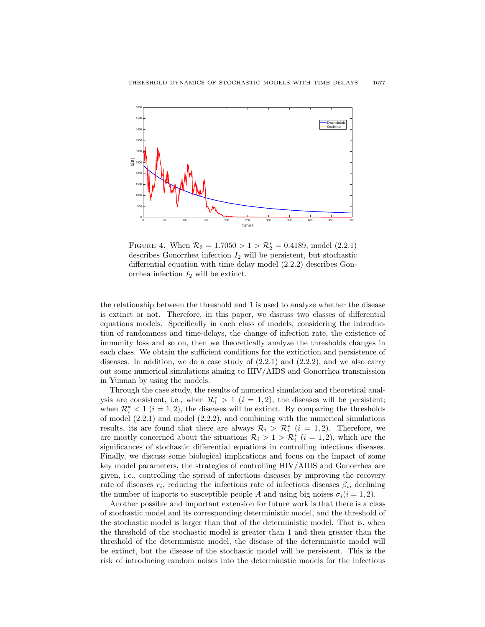

FIGURE 4. When  $\mathcal{R}_2 = 1.7050 > 1 > \mathcal{R}_2^* = 0.4189$ , model (2.2.1) describes Gonorrhea infection  $I_2$  will be persistent, but stochastic differential equation with time delay model (2.2.2) describes Gonorrhea infection  $I_2$  will be extinct.

the relationship between the threshold and 1 is used to analyze whether the disease is extinct or not. Therefore, in this paper, we discuss two classes of differential equations models. Specifically in each class of models, considering the introduction of randomness and time-delays, the change of infection rate, the existence of immunity loss and so on, then we theoretically analyze the thresholds changes in each class. We obtain the sufficient conditions for the extinction and persistence of diseases. In addition, we do a case study of  $(2.2.1)$  and  $(2.2.2)$ , and we also carry out some numerical simulations aiming to HIV/AIDS and Gonorrhea transmission in Yunnan by using the models.

Through the case study, the results of numerical simulation and theoretical analysis are consistent, i.e., when  $\mathcal{R}_i^* > 1$   $(i = 1, 2)$ , the diseases will be persistent; when  $\mathcal{R}_i^* < 1$  ( $i = 1, 2$ ), the diseases will be extinct. By comparing the thresholds of model  $(2.2.1)$  and model  $(2.2.2)$ , and combining with the numerical simulations results, its are found that there are always  $\mathcal{R}_i > \mathcal{R}_i^*$  ( $i = 1, 2$ ). Therefore, we are mostly concerned about the situations  $\mathcal{R}_i > 1 > \mathcal{R}_i^*$   $(i = 1, 2)$ , which are the significances of stochastic differential equations in controlling infectious diseases. Finally, we discuss some biological implications and focus on the impact of some key model parameters, the strategies of controlling HIV/AIDS and Gonorrhea are given, i.e., controlling the spread of infectious diseases by improving the recovery rate of diseases  $r_i$ , reducing the infections rate of infectious diseases  $\beta_i$ , declining the number of imports to susceptible people A and using big noises  $\sigma_i(i = 1, 2)$ .

Another possible and important extension for future work is that there is a class of stochastic model and its corresponding deterministic model, and the threshold of the stochastic model is larger than that of the deterministic model. That is, when the threshold of the stochastic model is greater than 1 and then greater than the threshold of the deterministic model, the disease of the deterministic model will be extinct, but the disease of the stochastic model will be persistent. This is the risk of introducing random noises into the deterministic models for the infectious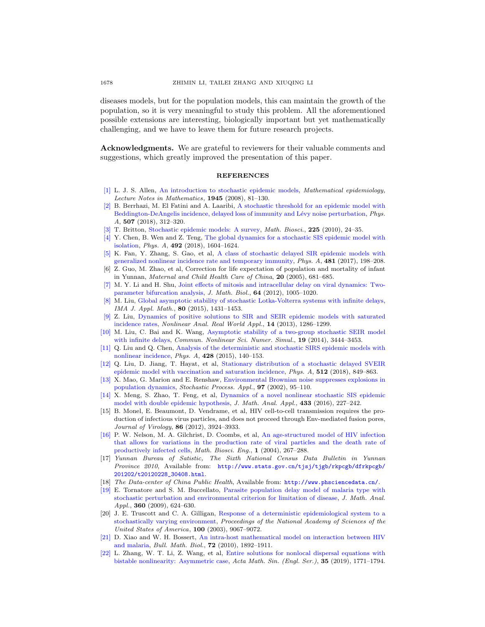diseases models, but for the population models, this can maintain the growth of the population, so it is very meaningful to study this problem. All the aforementioned possible extensions are interesting, biologically important but yet mathematically challenging, and we have to leave them for future research projects.

Acknowledgments. We are grateful to reviewers for their valuable comments and suggestions, which greatly improved the presentation of this paper.

## REFERENCES

- <span id="page-17-2"></span>[\[1\]](http://www.ams.org/mathscinet-getitem?mr=MR2428373&return=pdf) L. J. S. Allen, [An introduction to stochastic epidemic models,](http://dx.doi.org/10.1007/978-3-540-78911-6_3) Mathematical epidemiology, Lecture Notes in Mathematics, 1945 (2008), 81–130.
- <span id="page-17-8"></span>[\[2\]](http://www.ams.org/mathscinet-getitem?mr=MR3812294&return=pdf) B. Berrhazi, M. El Fatini and A. Laaribi, [A stochastic threshold for an epidemic model with](http://dx.doi.org/10.1016/j.physa.2018.05.096) Beddington-DeAngelis incidence, delayed loss of immunity and Lévy noise perturbation, Phys. A, 507 (2018), 312–320.
- <span id="page-17-1"></span>[\[3\]](http://www.ams.org/mathscinet-getitem?mr=MR2642269&return=pdf) T. Britton, [Stochastic epidemic models: A survey,](http://dx.doi.org/10.1016/j.mbs.2010.01.006) Math. Biosci., 225 (2010), 24–35.
- <span id="page-17-10"></span>[\[4\]](http://www.ams.org/mathscinet-getitem?mr=MR3735223&return=pdf) Y. Chen, B. Wen and Z. Teng, [The global dynamics for a stochastic SIS epidemic model with](http://dx.doi.org/10.1016/j.physa.2017.11.085) [isolation,](http://dx.doi.org/10.1016/j.physa.2017.11.085) Phys. A, 492 (2018), 1604–1624.
- <span id="page-17-7"></span>[\[5\]](http://www.ams.org/mathscinet-getitem?mr=MR3648941&return=pdf) K. Fan, Y. Zhang, S. Gao, et al, [A class of stochastic delayed SIR epidemic models with](http://dx.doi.org/10.1016/j.physa.2017.04.055) [generalized nonlinear incidence rate and temporary immunity,](http://dx.doi.org/10.1016/j.physa.2017.04.055) Phys. A, 481 (2017), 198–208.
- <span id="page-17-17"></span>[6] Z. Guo, M. Zhao, et al, Correction for life expectation of population and mortality of infant in Yunnan, Maternal and Child Health Care of China, 20 (2005), 681–685.
- <span id="page-17-13"></span>[\[7\]](http://www.ams.org/mathscinet-getitem?mr=MR2909775&return=pdf) M. Y. Li and H. Shu, [Joint effects of mitosis and intracellular delay on viral dynamics: Two](http://dx.doi.org/10.1007/s00285-011-0436-2)[parameter bifurcation analysis,](http://dx.doi.org/10.1007/s00285-011-0436-2) J. Math. Biol., 64 (2012), 1005–1020.
- <span id="page-17-21"></span>[\[8\]](http://www.ams.org/mathscinet-getitem?mr=MR3403985&return=pdf) M. Liu, [Global asymptotic stability of stochastic Lotka-Volterra systems with infinite delays,](http://dx.doi.org/10.1093/imamat/hxv002) IMA J. Appl. Math., 80 (2015), 1431–1453.
- <span id="page-17-3"></span>[\[9\]](http://www.ams.org/mathscinet-getitem?mr=MR3004500&return=pdf) Z. Liu, [Dynamics of positive solutions to SIR and SEIR epidemic models with saturated](http://dx.doi.org/10.1016/j.nonrwa.2012.09.016) [incidence rates,](http://dx.doi.org/10.1016/j.nonrwa.2012.09.016) Nonlinear Anal. Real World Appl., 14 (2013), 1286–1299.
- <span id="page-17-5"></span>[\[10\]](http://www.ams.org/mathscinet-getitem?mr=MR3201718&return=pdf) M. Liu, C. Bai and K. Wang, [Asymptotic stability of a two-group stochastic SEIR model](http://dx.doi.org/10.1016/j.cnsns.2014.02.025) [with infinite delays,](http://dx.doi.org/10.1016/j.cnsns.2014.02.025) Commun. Nonlinear Sci. Numer. Simul., 19 (2014), 3444-3453.
- <span id="page-17-0"></span>[\[11\]](http://www.ams.org/mathscinet-getitem?mr=MR3322886&return=pdf) Q. Liu and Q. Chen, [Analysis of the deterministic and stochastic SIRS epidemic models with](http://dx.doi.org/10.1016/j.physa.2015.01.075) [nonlinear incidence,](http://dx.doi.org/10.1016/j.physa.2015.01.075) Phys. A, 428 (2015), 140–153.
- <span id="page-17-9"></span>[\[12\]](http://www.ams.org/mathscinet-getitem?mr=MR3851706&return=pdf) Q. Liu, D. Jiang, T. Hayat, et al, [Stationary distribution of a stochastic delayed SVEIR](http://dx.doi.org/10.1016/j.physa.2018.08.054) [epidemic model with vaccination and saturation incidence,](http://dx.doi.org/10.1016/j.physa.2018.08.054) Phys. A, 512 (2018), 849–863.
- <span id="page-17-4"></span>[\[13\]](http://www.ams.org/mathscinet-getitem?mr=MR1870962&return=pdf) X. Mao, G. Marion and E. Renshaw, [Environmental Brownian noise suppresses explosions in](http://dx.doi.org/10.1016/S0304-4149(01)00126-0) [population dynamics,](http://dx.doi.org/10.1016/S0304-4149(01)00126-0) Stochastic Process. Appl., 97 (2002), 95-110.
- <span id="page-17-11"></span>[\[14\]](http://www.ams.org/mathscinet-getitem?mr=MR3388788&return=pdf) X. Meng, S. Zhao, T. Feng, et al, [Dynamics of a novel nonlinear stochastic SIS epidemic](http://dx.doi.org/10.1016/j.jmaa.2015.07.056) [model with double epidemic hypothesis,](http://dx.doi.org/10.1016/j.jmaa.2015.07.056) J. Math. Anal. Appl., 433 (2016), 227–242.
- <span id="page-17-15"></span>[15] B. Monel, E. Beaumont, D. Vendrame, et al, HIV cell-to-cell transmission requires the production of infectious virus particles, and does not proceed through Env-mediated fusion pores, Journal of Virology, 86 (2012), 3924–3933.
- <span id="page-17-14"></span>[\[16\]](http://www.ams.org/mathscinet-getitem?mr=MR2130667&return=pdf) P. W. Nelson, M. A. Gilchrist, D. Coombs, et al, [An age-structured model of HIV infection](http://dx.doi.org/10.3934/mbe.2004.1.267) [that allows for variations in the production rate of viral particles and the death rate of](http://dx.doi.org/10.3934/mbe.2004.1.267) [productively infected cells,](http://dx.doi.org/10.3934/mbe.2004.1.267) Math. Biosci. Eng., 1 (2004), 267–288.
- <span id="page-17-18"></span>[17] Yunnan Bureau of Satistic, The Sixth National Census Data Bulletin in Yunnan Province 2010, Available from: [http://www.stats.gov.cn/tjsj/tjgb/rkpcgb/dfrkpcgb/](http://www.stats.gov.cn/tjsj/tjgb/rkpcgb/dfrkpcgb/201202/t20120228_30408.html) [201202/t20120228\\_30408.html](http://www.stats.gov.cn/tjsj/tjgb/rkpcgb/dfrkpcgb/201202/t20120228_30408.html).
- <span id="page-17-16"></span>[18] The Data-center of China Public Health, Available from: <http://www.phsciencedata.cn/>.
- <span id="page-17-6"></span>[\[19\]](http://www.ams.org/mathscinet-getitem?mr=MR2561259&return=pdf) E. Tornatore and S. M. Buccellato, [Parasite population delay model of malaria type with](http://dx.doi.org/10.1016/j.jmaa.2009.06.078) [stochastic perturbation and environmental criterion for limitation of disease,](http://dx.doi.org/10.1016/j.jmaa.2009.06.078) J. Math. Anal. Appl., 360 (2009), 624-630.
- <span id="page-17-19"></span>[20] J. E. Truscott and C. A. Gilligan, [Response of a deterministic epidemiological system to a](http://dx.doi.org/10.1073/pnas.1436273100) [stochastically varying environment,](http://dx.doi.org/10.1073/pnas.1436273100) Proceedings of the National Academy of Sciences of the United States of America, 100 (2003), 9067–9072.
- <span id="page-17-12"></span>[\[21\]](http://www.ams.org/mathscinet-getitem?mr=MR2728010&return=pdf) D. Xiao and W. H. Bossert, [An intra-host mathematical model on interaction between HIV](http://dx.doi.org/10.1007/s11538-010-9515-6) [and malaria,](http://dx.doi.org/10.1007/s11538-010-9515-6) Bull. Math. Biol., 72 (2010), 1892–1911.
- <span id="page-17-20"></span>[\[22\]](http://www.ams.org/mathscinet-getitem?mr=MR4019222&return=pdf) L. Zhang, W. T. Li, Z. Wang, et al, [Entire solutions for nonlocal dispersal equations with](http://dx.doi.org/10.1007/s10114-019-8294-8) [bistable nonlinearity: Asymmetric case,](http://dx.doi.org/10.1007/s10114-019-8294-8) Acta Math. Sin. (Engl. Ser.), 35 (2019), 1771–1794.